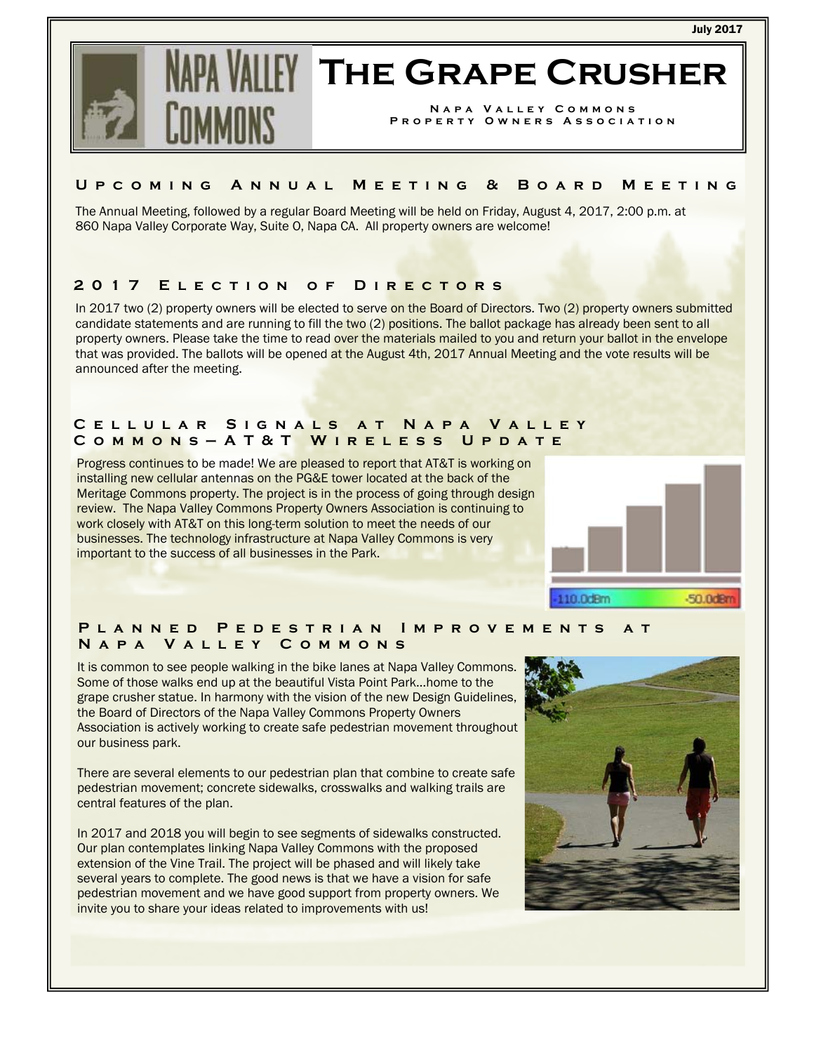#### July 2017



# **The Grape Crusher**

**Napa Valley Commons Property Owners Association** 

#### **Upcoming Annual Meeting & Board Meeting**

The Annual Meeting, followed by a regular Board Meeting will be held on Friday, August 4, 2017, 2:00 p.m. at 860 Napa Valley Corporate Way, Suite O, Napa CA. All property owners are welcome!

## **2017 Election of Directors**

In 2017 two (2) property owners will be elected to serve on the Board of Directors. Two (2) property owners submitted candidate statements and are running to fill the two (2) positions. The ballot package has already been sent to all property owners. Please take the time to read over the materials mailed to you and return your ballot in the envelope that was provided. The ballots will be opened at the August 4th, 2017 Annual Meeting and the vote results will be announced after the meeting.

#### **Cellular Signals at Napa Valley Commons—AT&T Wireless Update**

Progress continues to be made! We are pleased to report that AT&T is working on installing new cellular antennas on the PG&E tower located at the back of the Meritage Commons property. The project is in the process of going through design review. The Napa Valley Commons Property Owners Association is continuing to work closely with AT&T on this long-term solution to meet the needs of our businesses. The technology infrastructure at Napa Valley Commons is very important to the success of all businesses in the Park.



# **Planned Pedestrian Improvements at Napa Valley Commons**

It is common to see people walking in the bike lanes at Napa Valley Commons. Some of those walks end up at the beautiful Vista Point Park…home to the grape crusher statue. In harmony with the vision of the new Design Guidelines, the Board of Directors of the Napa Valley Commons Property Owners Association is actively working to create safe pedestrian movement throughout our business park.

There are several elements to our pedestrian plan that combine to create safe pedestrian movement; concrete sidewalks, crosswalks and walking trails are central features of the plan.

In 2017 and 2018 you will begin to see segments of sidewalks constructed. Our plan contemplates linking Napa Valley Commons with the proposed extension of the Vine Trail. The project will be phased and will likely take several years to complete. The good news is that we have a vision for safe pedestrian movement and we have good support from property owners. We invite you to share your ideas related to improvements with us!

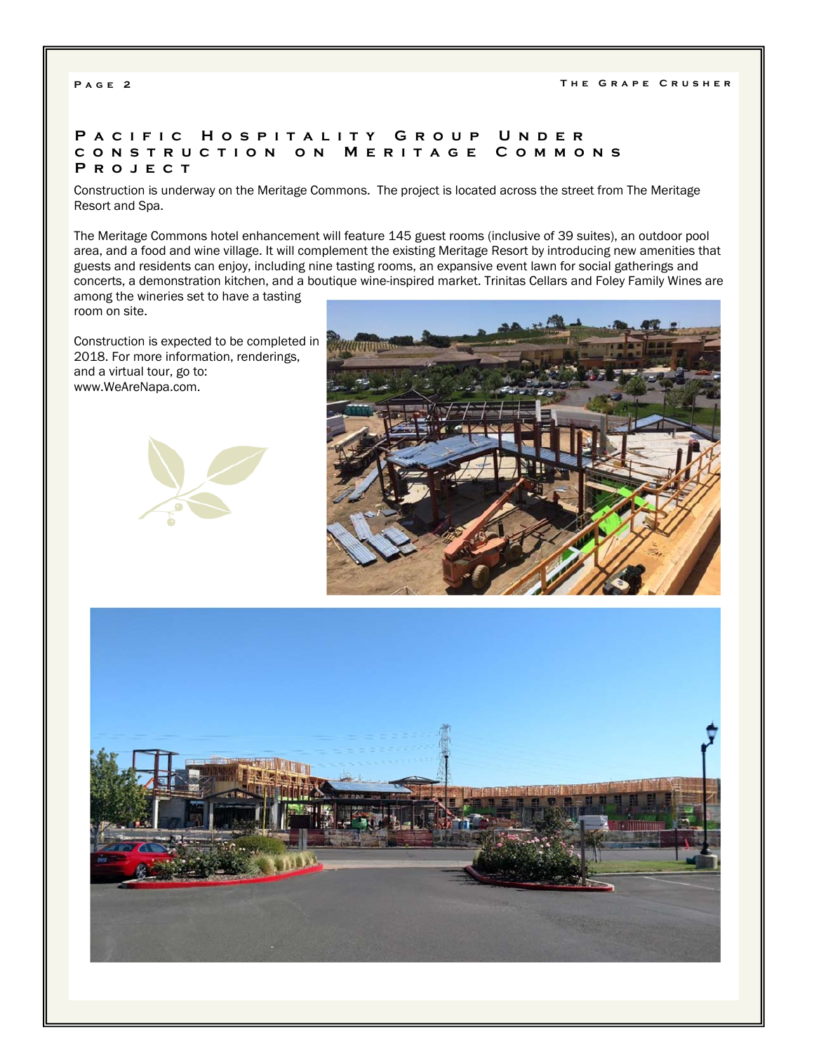## **Pacific Hospitality Group Under construction on Meritage Commons Project**

Construction is underway on the Meritage Commons. The project is located across the street from The Meritage Resort and Spa.

The Meritage Commons hotel enhancement will feature 145 guest rooms (inclusive of 39 suites), an outdoor pool area, and a food and wine village. It will complement the existing Meritage Resort by introducing new amenities that guests and residents can enjoy, including nine tasting rooms, an expansive event lawn for social gatherings and concerts, a demonstration kitchen, and a boutique wine-inspired market. Trinitas Cellars and Foley Family Wines are

among the wineries set to have a tasting room on site.

Construction is expected to be completed in 2018. For more information, renderings, and a virtual tour, go to: www.WeAreNapa.com.





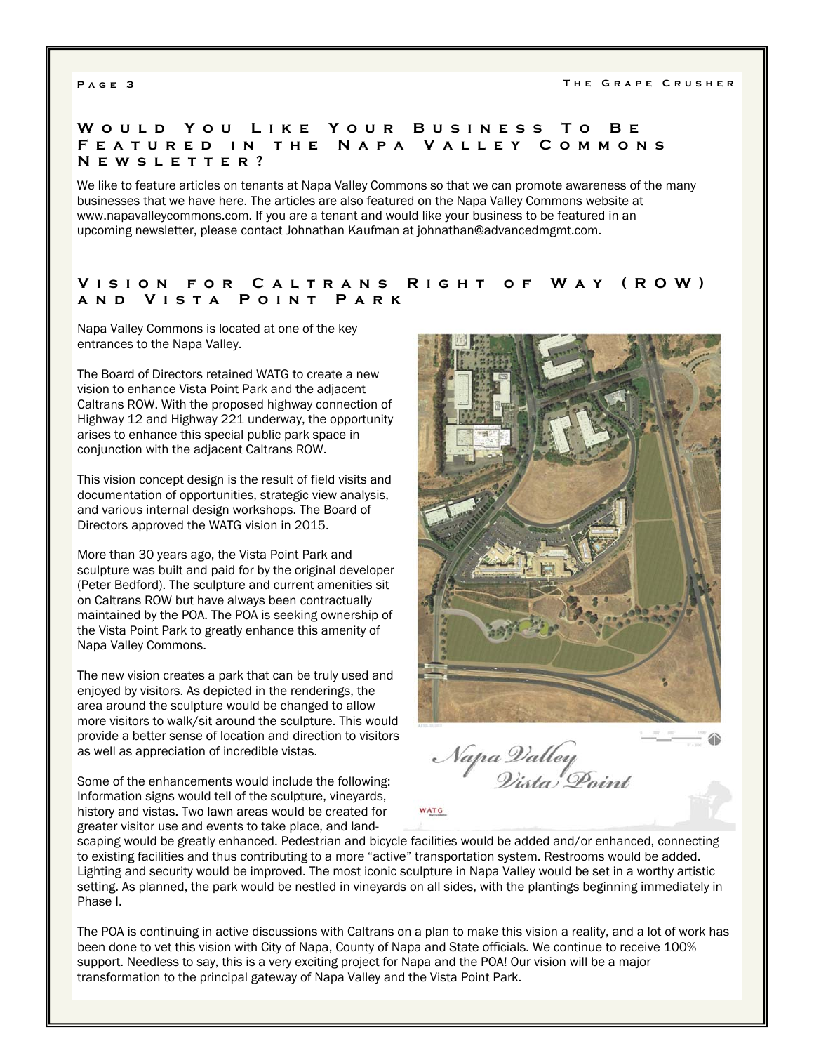#### **Would You Like You r Business To Be Featured in the Napa Valley Commons Newsletter?**

We like to feature articles on tenants at Napa Valley Commons so that we can promote awareness of the many businesses that we have here. The articles are also featured on the Napa Valley Commons website at www.napavalleycommons.com. If you are a tenant and would like your business to be featured in an upcoming newsletter, please contact Johnathan Kaufman at johnathan@advancedmgmt.com.

#### **Vision for Caltrans Right of Way (ROW) and Vista Point Park**

Napa Valley Commons is located at one of the key entrances to the Napa Valley.

The Board of Directors retained WATG to create a new vision to enhance Vista Point Park and the adjacent Caltrans ROW. With the proposed highway connection of Highway 12 and Highway 221 underway, the opportunity arises to enhance this special public park space in conjunction with the adjacent Caltrans ROW.

This vision concept design is the result of field visits and documentation of opportunities, strategic view analysis, and various internal design workshops. The Board of Directors approved the WATG vision in 2015.

More than 30 years ago, the Vista Point Park and sculpture was built and paid for by the original developer (Peter Bedford). The sculpture and current amenities sit on Caltrans ROW but have always been contractually maintained by the POA. The POA is seeking ownership of the Vista Point Park to greatly enhance this amenity of Napa Valley Commons.

The new vision creates a park that can be truly used and enjoyed by visitors. As depicted in the renderings, the area around the sculpture would be changed to allow more visitors to walk/sit around the sculpture. This would provide a better sense of location and direction to visitors as well as appreciation of incredible vistas.

Some of the enhancements would include the following: Information signs would tell of the sculpture, vineyards, history and vistas. Two lawn areas would be created for greater visitor use and events to take place, and land-



Napa Valley<br>Vista Point

scaping would be greatly enhanced. Pedestrian and bicycle facilities would be added and/or enhanced, connecting to existing facilities and thus contributing to a more "active" transportation system. Restrooms would be added. Lighting and security would be improved. The most iconic sculpture in Napa Valley would be set in a worthy artistic setting. As planned, the park would be nestled in vineyards on all sides, with the plantings beginning immediately in Phase I.

**WATG** 

The POA is continuing in active discussions with Caltrans on a plan to make this vision a reality, and a lot of work has been done to vet this vision with City of Napa, County of Napa and State officials. We continue to receive 100% support. Needless to say, this is a very exciting project for Napa and the POA! Our vision will be a major transformation to the principal gateway of Napa Valley and the Vista Point Park.